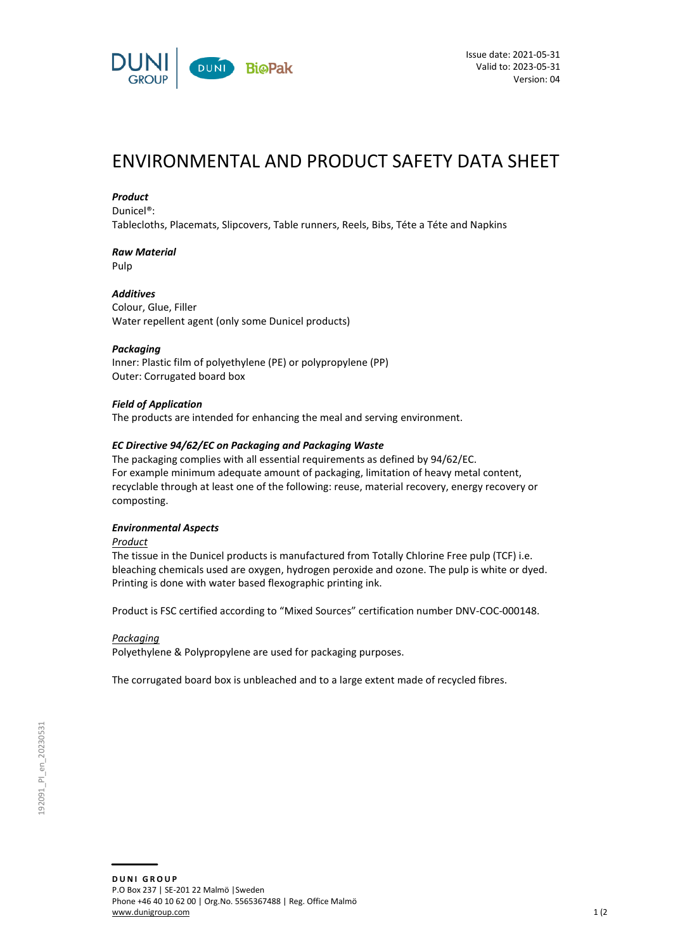

# ENVIRONMENTAL AND PRODUCT SAFETY DATA SHEET

### *Product*

Dunicel®:

Tablecloths, Placemats, Slipcovers, Table runners, Reels, Bibs, Téte a Téte and Napkins

# *Raw Material*

Pulp

### *Additives*

Colour, Glue, Filler Water repellent agent (only some Dunicel products)

### *Packaging*

Inner: Plastic film of polyethylene (PE) or polypropylene (PP) Outer: Corrugated board box

### *Field of Application*

The products are intended for enhancing the meal and serving environment.

### *EC Directive 94/62/EC on Packaging and Packaging Waste*

The packaging complies with all essential requirements as defined by 94/62/EC. For example minimum adequate amount of packaging, limitation of heavy metal content, recyclable through at least one of the following: reuse, material recovery, energy recovery or composting.

### *Environmental Aspects*

*Product*

The tissue in the Dunicel products is manufactured from Totally Chlorine Free pulp (TCF) i.e. bleaching chemicals used are oxygen, hydrogen peroxide and ozone. The pulp is white or dyed. Printing is done with water based flexographic printing ink.

Product is FSC certified according to "Mixed Sources" certification number DNV-COC-000148.

### *Packaging*

Polyethylene & Polypropylene are used for packaging purposes.

The corrugated board box is unbleached and to a large extent made of recycled fibres.